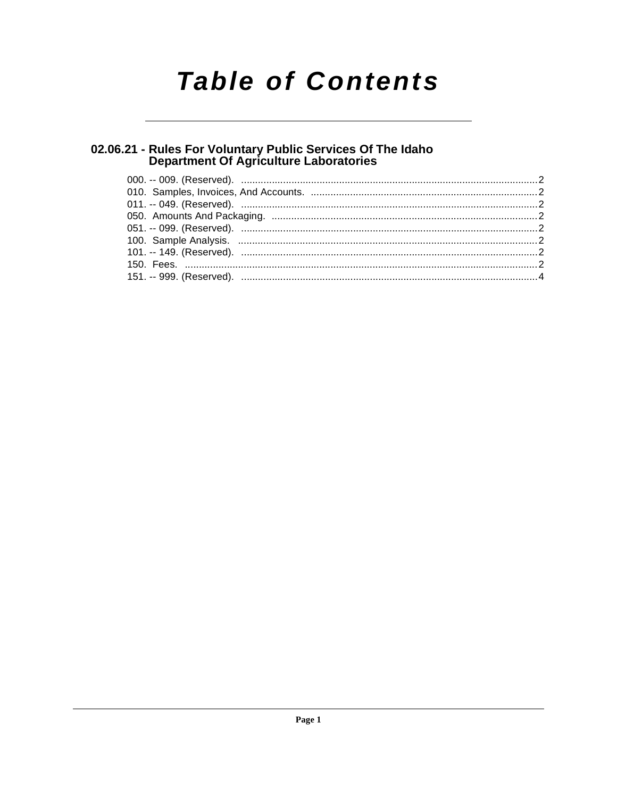# **Table of Contents**

# 02.06.21 - Rules For Voluntary Public Services Of The Idaho<br>Department Of Agriculture Laboratories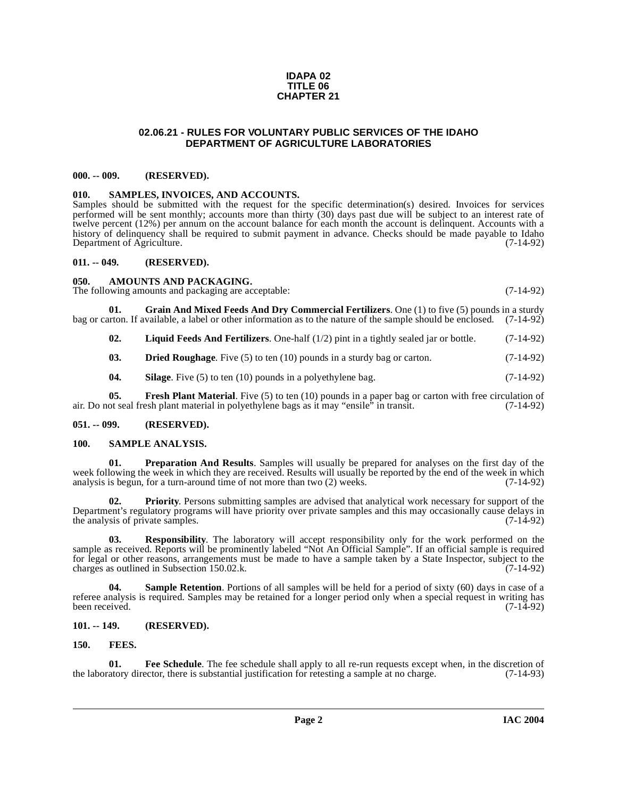#### **IDAPA 02 TITLE 06 CHAPTER 21**

# **02.06.21 - RULES FOR VOLUNTARY PUBLIC SERVICES OF THE IDAHO DEPARTMENT OF AGRICULTURE LABORATORIES**

## <span id="page-1-1"></span><span id="page-1-0"></span>**000. -- 009. (RESERVED).**

## <span id="page-1-18"></span><span id="page-1-2"></span>**010. SAMPLES, INVOICES, AND ACCOUNTS.**

Samples should be submitted with the request for the specific determination(s) desired. Invoices for services performed will be sent monthly; accounts more than thirty (30) days past due will be subject to an interest rate of twelve percent (12%) per annum on the account balance for each month the account is delinquent. Accounts with a history of delinquency shall be required to submit payment in advance. Checks should be made payable to Idaho<br>Department of Agriculture. (7-14-92) Department of Agriculture.

### <span id="page-1-3"></span>**011. -- 049. (RESERVED).**

### <span id="page-1-9"></span><span id="page-1-4"></span>**050. AMOUNTS AND PACKAGING.**

The following amounts and packaging are acceptable: (7-14-92)

**01. Grain And Mixed Feeds And Dry Commercial Fertilizers**. One (1) to five (5) pounds in a sturdy bag or carton. If available, a label or other information as to the nature of the sample should be enclosed. (7-14-92)

<span id="page-1-14"></span><span id="page-1-13"></span><span id="page-1-10"></span>**02. Liquid Feeds And Fertilizers**. One-half (1/2) pint in a tightly sealed jar or bottle. (7-14-92)

**03. Dried Roughage**. Five (5) to ten (10) pounds in a sturdy bag or carton. (7-14-92)

<span id="page-1-19"></span><span id="page-1-12"></span>**04.** Silage. Five (5) to ten (10) pounds in a polyethylene bag.  $(7-14-92)$ 

**05.** Fresh Plant Material. Five (5) to ten (10) pounds in a paper bag or carton with free circulation of air. Do not seal fresh plant material in polyethylene bags as it may "ensile" in transit. (7-14-92)

# <span id="page-1-5"></span>**051. -- 099. (RESERVED).**

# <span id="page-1-16"></span><span id="page-1-6"></span>**100. SAMPLE ANALYSIS.**

<span id="page-1-15"></span>**01. Preparation And Results**. Samples will usually be prepared for analyses on the first day of the week following the week in which they are received. Results will usually be reported by the end of the week in which analysis is begun, for a turn-around time of not more than two (2) weeks. (7-14-92)

**02. Priority**. Persons submitting samples are advised that analytical work necessary for support of the Department's regulatory programs will have priority over private samples and this may occasionally cause delays in the analysis of private samples. the analysis of private samples.

**03. Responsibility**. The laboratory will accept responsibility only for the work performed on the sample as received. Reports will be prominently labeled "Not An Official Sample". If an official sample is required for legal or other reasons, arrangements must be made to have a sample taken by a State Inspector, subject to the charges as outlined in Subsection 150.02.k. (7-14-92)

<span id="page-1-17"></span>**04.** Sample Retention. Portions of all samples will be held for a period of sixty (60) days in case of a referee analysis is required. Samples may be retained for a longer period only when a special request in writing has been received. (7-14-92) been received. (7-14-92)

# <span id="page-1-7"></span>**101. -- 149. (RESERVED).**

# <span id="page-1-11"></span><span id="page-1-8"></span>**150. FEES.**

**01.** Fee Schedule. The fee schedule shall apply to all re-run requests except when, in the discretion of atory director, there is substantial justification for retesting a sample at no charge. (7-14-93) the laboratory director, there is substantial justification for retesting a sample at no charge.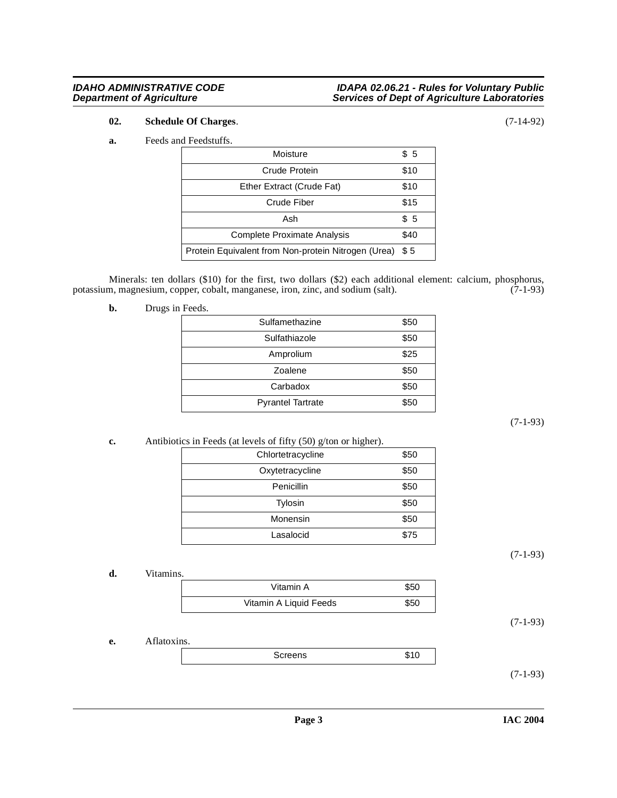# **IDAHO ADMINISTRATIVE CODE IDAPA 02.06.21 - Rules for Voluntary Public Department of Agriculture Services of Dept of Agriculture Laboratories**

# <span id="page-2-4"></span>**02. Schedule Of Charges**. (7-14-92)

#### <span id="page-2-3"></span>**a.** Feeds and Feedstuffs.

| Moisture                                            | \$5  |
|-----------------------------------------------------|------|
| Crude Protein                                       | \$10 |
| Ether Extract (Crude Fat)                           | \$10 |
| Crude Fiber                                         | \$15 |
| Ash                                                 | \$5  |
| <b>Complete Proximate Analysis</b>                  | \$40 |
| Protein Equivalent from Non-protein Nitrogen (Urea) | \$5  |

Minerals: ten dollars (\$10) for the first, two dollars (\$2) each additional element: calcium, phosphorus, potassium, magnesium, copper, cobalt, manganese, iron, zinc, and sodium (salt). (7-1-93)

<span id="page-2-2"></span>**b.** Drugs in Feeds.

| Sulfamethazine           | \$50 |
|--------------------------|------|
| Sulfathiazole            | \$50 |
| Amprolium                | \$25 |
| Zoalene                  | \$50 |
| Carbadox                 | \$50 |
| <b>Pyrantel Tartrate</b> | \$50 |

(7-1-93)

<span id="page-2-1"></span>**c.** Antibiotics in Feeds (at levels of fifty (50) g/ton or higher).

|                   | ~    |
|-------------------|------|
| Chlortetracycline | \$50 |
| Oxytetracycline   | \$50 |
| Penicillin        | \$50 |
| Tylosin           | \$50 |
| Monensin          | \$50 |
| Lasalocid         | \$75 |

(7-1-93)

**d.** Vitamins.

<span id="page-2-5"></span>

| Vitamin A              | \$50 |
|------------------------|------|
| Vitamin A Liquid Feeds | \$50 |

(7-1-93)

**e.** Aflatoxins.

<span id="page-2-0"></span>

| ı |
|---|
|---|

(7-1-93)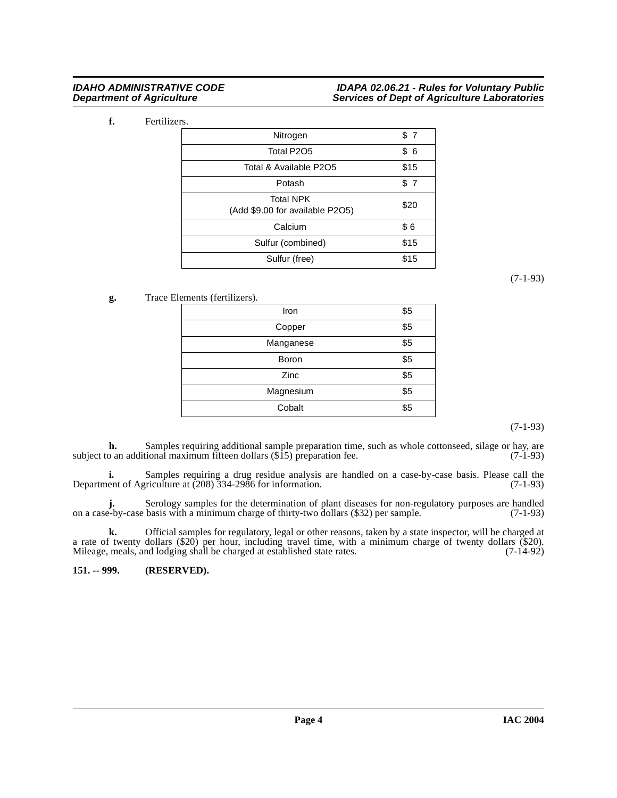# **IDAHO ADMINISTRATIVE CODE IDAPA 02.06.21 - Rules for Voluntary Public Department of Agriculture Services of Dept of Agriculture Laboratories**

<span id="page-3-1"></span>**f.** Fertilizers.

| Nitrogen                                            | \$7  |
|-----------------------------------------------------|------|
| Total P2O5                                          | \$6  |
| Total & Available P2O5                              | \$15 |
| Potash                                              | \$7  |
| <b>Total NPK</b><br>(Add \$9.00 for available P2O5) | \$20 |
| Calcium                                             | \$6  |
| Sulfur (combined)                                   | \$15 |
| Sulfur (free)                                       | \$15 |

(7-1-93)

<span id="page-3-2"></span>**g.** Trace Elements (fertilizers).

| Iron      | \$5 |
|-----------|-----|
| Copper    | \$5 |
| Manganese | \$5 |
| Boron     | \$5 |
| Zinc      | \$5 |
| Magnesium | \$5 |
| Cobalt    | \$5 |

(7-1-93)

**h.** Samples requiring additional sample preparation time, such as whole cottonseed, silage or hay, are subject to an additional maximum fifteen dollars  $(\$15)$  preparation fee. (7-1-93)

**i.** Samples requiring a drug residue analysis are handled on a case-by-case basis. Please call the Department of Agriculture at (208) 334-2986 for information. (7-1-93)

**j.** Serology samples for the determination of plant diseases for non-regulatory purposes are handled e-by-case basis with a minimum charge of thirty-two dollars (\$32) per sample. (7-1-93) on a case-by-case basis with a minimum charge of thirty-two dollars (\$32) per sample.

**k.** Official samples for regulatory, legal or other reasons, taken by a state inspector, will be charged at a rate of twenty dollars (\$20) per hour, including travel time, with a minimum charge of twenty dollars (\$20). Mileage, meals, and lodging shall be charged at established state rates. (7-14-92)

<span id="page-3-0"></span>**151. -- 999. (RESERVED).**